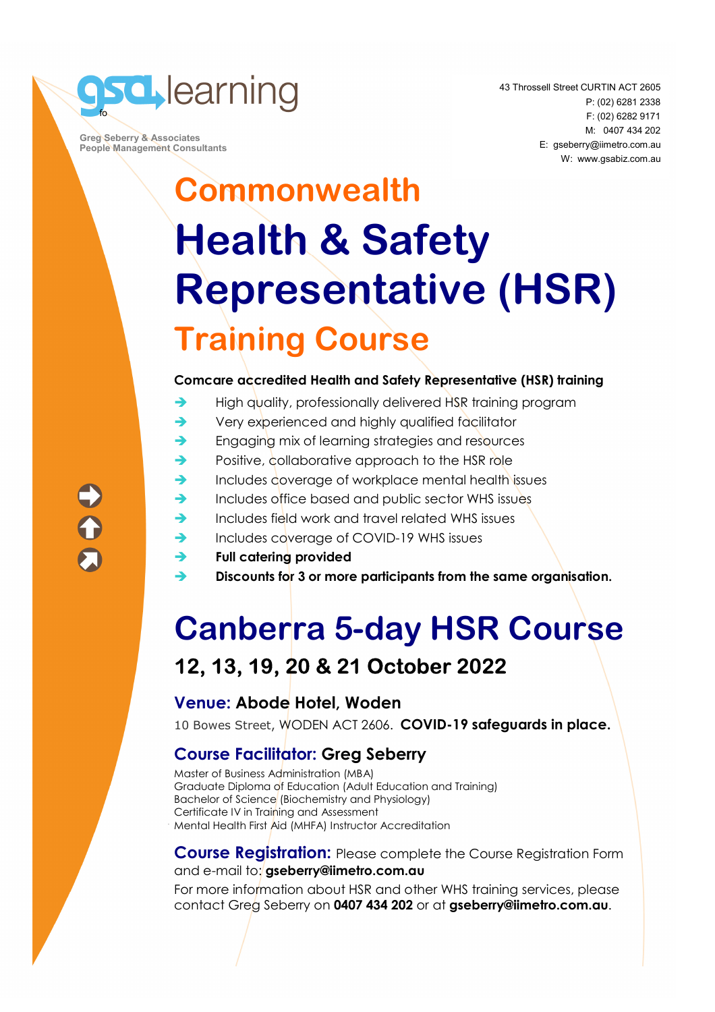

 **Greg Seberry & Associates People Management Consultants**  43 Throssell Street CURTIN ACT 2605 P: (02) 6281 2338 F: (02) 6282 9171 M: 0407 434 202 E: gseberry@iimetro.com.au W: www.gsabiz.com.au

# **Commonwealth Health & Safety Representative (HSR) Training Course**

#### **Comcare accredited Health and Safety Representative (HSR) training**

- $\rightarrow$  High quality, professionally delivered HSR training program
- ◆ Very experienced and highly qualified facilitator
- **Engaging mix of learning strategies and resources**
- Positive, collaborative approach to the HSR role
- $\rightarrow$  Includes coverage of workplace mental health issues
- Includes office based and public sector WHS issues
- $\rightarrow$  Includes field work and travel related WHS issues
- Includes coverage of COVID-19 WHS issues
- **Full catering provided**
- **Discounts for 3 or more participants from the same organisation.**

# **Canberra 5-day HSR Course 12, 13, 19, 20 & 21 October 2022**

### **Venue: Abode Hotel, Woden**

10 Bowes Street, WODEN ACT 2606. **COVID-19 safeguards in place.**

### **Course Facilitator: Greg Seberry**

Master of Business Administration (MBA) Graduate Diploma of Education (Adult Education and Training) Bachelor of Science (Biochemistry and Physiology) Certificate IV in Training and Assessment Mental Health First Aid (MHFA) Instructor Accreditation

#### **Course Registration:** Please complete the Course Registration Form and e-mail to: **gseberry@iimetro.com.au**

For more information about HSR and other WHS training services, please contact Greg Seberry on **0407 434 202** or at **gseberry@iimetro.com.au**.